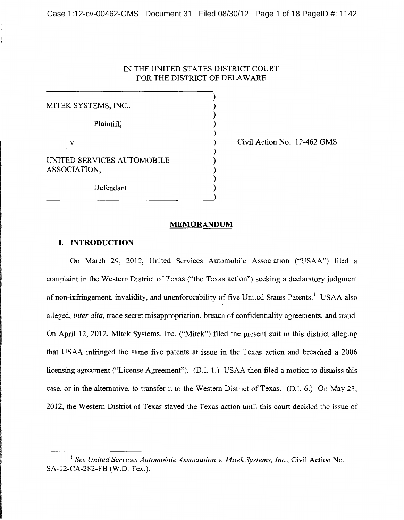## IN THE UNITED STATES DISTRICT COURT FOR THE DISTRICT OF DELAWARE

) ) ) ) ) ) ) ) ) ) )

MITEK SYSTEMS, INC., Plaintiff, v. UNITED SERVICES AUTOMOBILE ASSOCIATION, Defendant.

Civil Action No. 12-462 GMS

#### **MEMORANDUM**

### **I. INTRODUCTION**

On March 29, 2012, United Services Automobile Association ("USAA") filed a complaint in the Western District of Texas ("the Texas action") seeking a declaratory judgment of non-infringement, invalidity, and unenforceability of five United States Patents.<sup>1</sup> USAA also alleged, *inter alia,* trade secret misappropriation, breach of confidentiality agreements, and fraud. On April 12, 2012, Mitek Systems, Inc. ("Mitek") filed the present suit in this district alleging that USAA infringed the same five patents at issue in the Texas action and breached a 2006 licensing agreement ("License Agreement"). (D.I. 1.) USAA then filed a motion to dismiss this case, or in the alternative, to transfer it to the Western District of Texas. (D.I. 6.) On May 23, 2012, the Western District of Texas stayed the Texas action until this court decided the issue of

<sup>&</sup>lt;sup>1</sup> See United Services Automobile Association v. Mitek Systems, Inc., Civil Action No. SA-12-CA-282-FB (W.D. Tex.).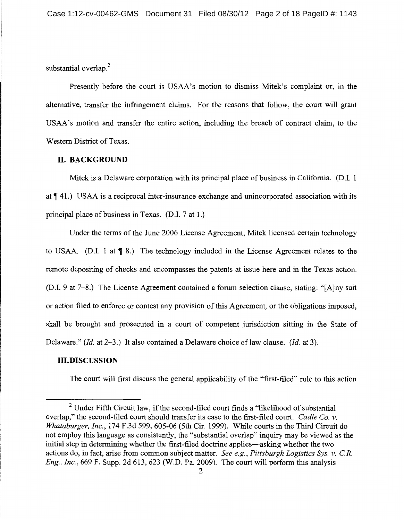substantial overlap.<sup>2</sup>

Presently before the court is USAA's motion to dismiss Mitek's complaint or, in the alternative, transfer the infringement claims. For the reasons that follow, the court will grant USAA's motion and transfer the entire action, including the breach of contract claim, to the Western District of Texas.

# **II. BACKGROUND**

Mitek is a Delaware corporation with its principal place of business in California. (D.I. 1 at  $\P$  41.) USAA is a reciprocal inter-insurance exchange and unincorporated association with its principal place of business in Texas. (D.I. 7 at 1.)

Under the terms of the June 2006 License Agreement, Mitek licensed certain technology to USAA. (D.I. 1 at  $\P_8$ .) The technology included in the License Agreement relates to the remote depositing of checks and encompasses the patents at issue here and in the Texas action. (D.I. 9 at 7-8.) The License Agreement contained a forum selection clause, stating: "[A]ny suit or action filed to enforce or contest any provision of this Agreement, or the obligations imposed, shall be brought and prosecuted in a court of competent jurisdiction sitting in the State of Delaware." *(Id.* at 2-3.) It also contained a Delaware choice of law clause. *(Id.* at 3).

### **Ill. DISCUSSION**

The court will first discuss the general applicability of the "first-filed" rule to this action

 $2$  Under Fifth Circuit law, if the second-filed court finds a "likelihood of substantial overlap," the second-filed court should transfer its case to the first-filed court. *Cadle Co. v. Whataburger, Inc.,* 174 F.3d 599, 605-06 (5th Cir. 1999). While courts in the Third Circuit do not employ this language as consistently, the "substantial overlap" inquiry may be viewed as the initial step in determining whether the first-filed doctrine applies—asking whether the two actions do, in fact, arise from common subject matter. *See e.g., Pittsburgh Logistics Sys. v. C.R. Eng., Inc.,* 669 F. Supp. 2d 613, 623 (W.D. Pa. 2009). The court will perform this analysis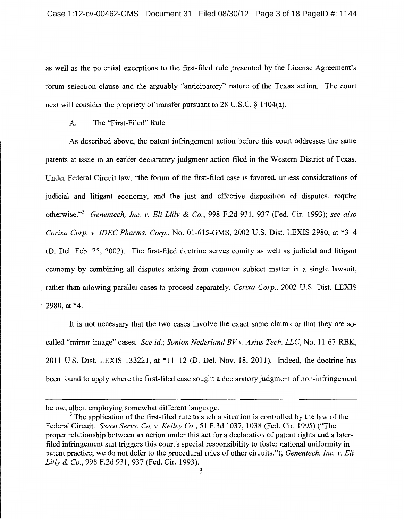as well as the potential exceptions to the first-filed rule presented by the License Agreement's forum selection clause and the arguably "anticipatory" nature of the Texas action. The court next will consider the propriety of transfer pursuant to 28 U.S.C. § 1404(a).

A. The "First-Filed" Rule

As described above, the patent infringement action before this court addresses the same patents at issue in an earlier declaratory judgment action filed in the Western District of Texas. Under Federal Circuit law, "the forum of the first-filed case is favored, unless considerations of judicial and litigant economy, and the just and effective disposition of disputes, require otherwise."<sup>3</sup>*Genentech, Inc. v. Eli Lilly* & *Co.,* 998 F.2d 931, 937 (Fed. Cir. 1993); *see also Corixa Corp. v. !DEC Pharms. Corp.,* No. 01-615-GMS, 2002 U.S. Dist. LEXIS 2980, at \*3--4 (D. Del. Feb. 25, 2002). The first-filed doctrine serves comity as well as judicial and litigant economy by combining all disputes arising from common subject matter in a single lawsuit, . rather than allowing parallel cases to proceed separately. *Corixa Corp.,* 2002 U.S. Dist. LEXIS 2980, at \*4.

It is not necessary that the two cases involve the exact same claims or that they are socalled "mirror-image" cases. *See id.; Sonion Nederland BV v. Asius Tech. LLC,* No. 11-67-RBK, 2011 U.S. Dist. LEXIS 133221, at \*11-12 (D. Del. Nov. 18, 2011). Indeed, the doctrine has been found to apply where the first-filed case sought a declaratory judgment of non-infringement

below, albeit employing somewhat different language.

 $3$  The application of the first-filed rule to such a situation is controlled by the law of the Federal Circuit. *Serco Servs. Co. v. Kelley Co.,* 51 F.3d 1037, 1038 (Fed. Cir. 1995) ("The proper relationship between an action under this act for a declaration of patent rights and a laterfiled infringement suit triggers this court's special responsibility to foster national uniformity in patent practice; we do not defer to the procedural rules of other circuits."); *Genentech, Inc. v. Eli Lilly* & *Co.,* 998 F.2d 931, 937 (Fed. Cir. 1993).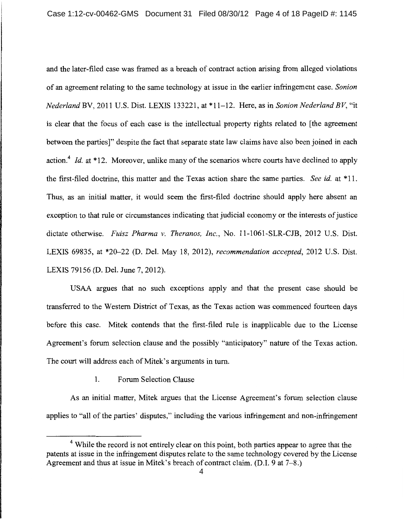and the later-filed case was framed as a breach of contract action arising from alleged violations of an agreement relating to the same technology at issue in the earlier infringement case. *Sonion Nederland* BV, 2011 U.S. Dist. LEXIS 133221, at \*11-12. Here, as in *Sonion Nederland BV,* "it is clear that the focus of each case is the intellectual property rights related to [the agreement between the parties]" despite the fact that separate state law claims have also been joined in each action.<sup>4</sup> Id. at \*12. Moreover, unlike many of the scenarios where courts have declined to apply the first-filed doctrine, this matter and the Texas action share the same parties. *See id.* at \*11. Thus, as an initial matter, it would seem the first-filed doctrine should apply here absent an exception to that rule or circumstances indicating that judicial economy or the interests of justice dictate otherwise. *Fuisz Pharma v. Theranos, Inc.,* No. 11-1061-SLR-CJB, 2012 U.S. Dist. LEXIS 69835, at \*20-22 (D. Del. May 18, 2012), *recommendation accepted,* 2012 U.S. Dist. LEXIS 79156 (D. Del. June 7, 2012).

USAA argues that no such exceptions apply and that the present case should be transferred to the Western District of Texas, as the Texas action was commenced fourteen days before this case. Mitek contends that the first-filed rule is inapplicable due to the License Agreement's forum selection clause and the possibly "anticipatory" nature of the Texas action. The court will address each of Mitek's arguments in turn.

## 1. Forum Selection Clause

As an initial matter, Mitek argues that the License Agreement's forum selection clause applies to "all of the parties' disputes," including the various infringement and non-infringement

<sup>&</sup>lt;sup>4</sup> While the record is not entirely clear on this point, both parties appear to agree that the patents at issue in the infringement disputes relate to the same technology covered by the License Agreement and thus at issue in Mitek's breach of contract claim. (D.I. 9 at 7-8.)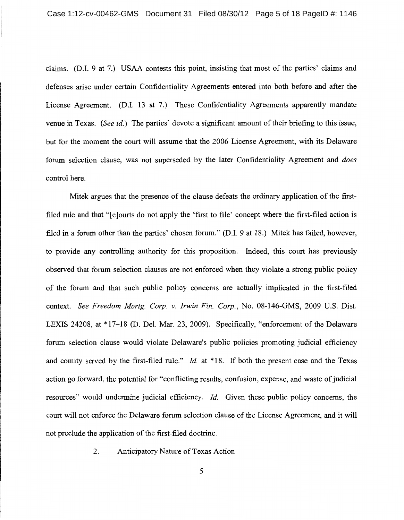claims. (D.I. 9 at 7.) USAA contests this point, insisting that most of the parties' claims and defenses arise under certain Confidentiality Agreements entered into both before and after the License Agreement. (D.I. 13 at 7.) These Confidentiality Agreements apparently mandate venue in Texas. *(See id.)* The parties' devote a significant amount of their briefing to this issue, but for the moment the court will assume that the 2006 License Agreement, with its Delaware forum selection clause, was not superseded by the later Confidentiality Agreement and *does*  control here.

Mitek argues that the presence of the clause defeats the ordinary application of the firstfiled rule and that "[c]ourts do not apply the 'first to file' concept where the first-filed action is filed in a forum other than the parties' chosen forum." (D.I. 9 at 18.) Mitek has failed, however, to provide any controlling authority for this proposition. Indeed, this court has previously observed that forum selection clauses are not enforced when they violate a strong public policy of the forum and that such public policy concerns are actually implicated in the first-filed context. *See Freedom Mortg. Corp. v. Irwin Fin. Corp.,* No. 08-146-GMS, 2009 U.S. Dist. LEXIS 24208, at \*17-18 (D. Del. Mar. 23, 2009). Specifically, "enforcement of the Delaware forum selection clause would violate Delaware's public policies promoting judicial efficiency and comity served by the first-filed rule." *Id.* at \*18. If both the present case and the Texas action go forward, the potential for "conflicting results, confusion, expense, and waste of judicial resources" would undermine judicial efficiency. *Id.* Given these public policy concerns, the court will not enforce the Delaware forum selection clause of the License Agreement, and it will not preclude the application of the first-filed doctrine.

2. Anticipatory Nature of Texas Action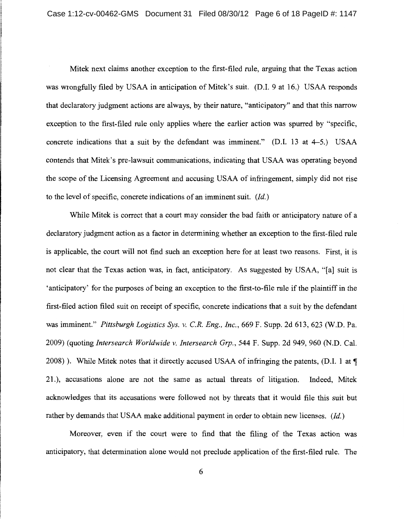Mitek next claims another exception to the first-filed rule, arguing that the Texas action was wrongfully filed by USAA in anticipation of Mitek's suit. (D.I. 9 at 16.) USAA responds that declaratory judgment actions are always, by their nature, "anticipatory" and that this narrow exception to the first-filed rule only applies where the earlier action was spurred by "specific, concrete indications that a suit by the defendant was imminent."  $(D.I. 13 at 4-5.)$  USAA contends that Mitek's pre-lawsuit communications, indicating that USAA was operating beyond the scope of the Licensing Agreement and accusing USAA of infringement, simply did not rise to the level of specific, concrete indications of an imminent suit. *(Id.)* 

While Mitek is correct that a court may consider the bad faith or anticipatory nature of a declaratory judgment action as a factor in determining whether an exception to the first-filed rule is applicable, the court will not find such an exception here for at least two reasons. First, it is not clear that the Texas action was, in fact, anticipatory. As suggested by USAA, "[a] suit is 'anticipatory' for the purposes of being an exception to the first-to-file rule if the plaintiff in the first-filed action filed suit on receipt of specific, concrete indications that a suit by the defendant was imminent." *Pittsburgh Logistics Sys. v. C.R. Eng., Inc.,* 669 F. Supp. 2d 613, 623 (W.D. Pa. 2009) (quoting *Intersearch Worldwide v. Intersearch Grp.,* 544 F. Supp. 2d 949, 960 (N.D. Cal. 2008) ). While Mitek notes that it directly accused USAA of infringing the patents, (D.I. 1 at  $\P$ 21. ), accusations alone are not the same as actual threats of litigation. Indeed, Mitek acknowledges that its accusations were followed not by threats that it would file this suit but rather by demands that USAA make additional payment in order to obtain new licenses. *(Id.)* 

Moreover, even if the court were to find that the filing of the Texas action was anticipatory, that determination alone would not preclude application of the first-filed rule. The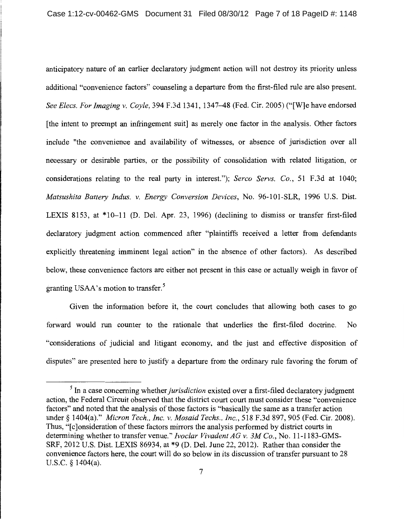anticipatory nature of an earlier declaratory judgment action will not destroy its priority unless additional "convenience factors" counseling a departure from the first-filed rule are also present. *See Elecs. For Imaging v. Coyle,* 394 F.3d 1341, 1347-48 (Fed. Cir. 2005) ("[W]e have endorsed [the intent to preempt an infringement suit] as merely one factor in the analysis. Other factors include "the convenience and availability of witnesses, or absence of jurisdiction over all necessary or desirable parties, or the possibility of consolidation with related litigation, or considerations relating to the real party in interest."); *Serco Servs. Co.,* 51 F.3d at 1040; *Matsushita Battery Indus. v. Energy Conversion Devices,* No. 96-101-SLR, 1996 U.S. Dist. LEXIS 8153, at \*10-11 (D. Del. Apr. 23, 1996) (declining to dismiss or transfer first-filed declaratory judgment action commenced after "plaintiffs received a letter from defendants explicitly threatening imminent legal action" in the absence of other factors). As described below, these convenience factors are either not present in this case or actually weigh in favor of granting USAA's motion to transfer.<sup>5</sup>

Given the information before it, the court concludes that allowing both cases to go forward would run counter to the rationale that underlies the first-filed doctrine. No "considerations of judicial and litigant economy, and the just and effective disposition of disputes" are presented here to justify a departure from the ordinary rule favoring the forum of

<sup>&</sup>lt;sup>5</sup> In a case concerning whether *jurisdiction* existed over a first-filed declaratory judgment action, the Federal Circuit observed that the district court court must consider these "convenience factors" and noted that the analysis of those factors is "basically the same as a transfer action under§ 1404(a)." *Micron Tech., Inc. v. Mosaid Techs., Inc.,* 518 F.3d 897, 905 (Fed. Cir. 2008). Thus, "Iclonsideration of these factors mirrors the analysis performed by district courts in determining whether to transfer venue." *lvoclar Vivadent AG v. 3M Co.,* No. 11-1183-GMS-SRF, 2012 U.S. Dist. LEXIS 86934, at \*9 (D. Del. June 22, 2012). Rather than consider the convenience factors here, the court will do so below in its discussion of transfer pursuant to 28 U.S.C. § 1404(a).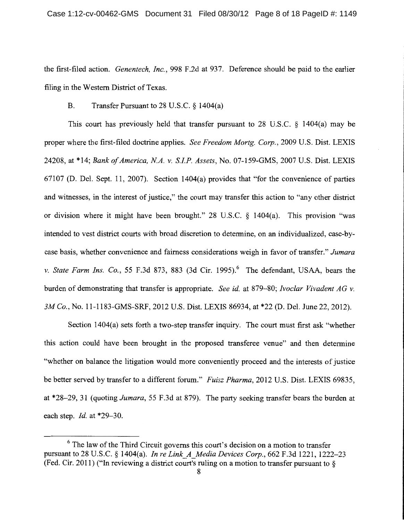the first-filed action. *Genentech, Inc.,* 998 F.2d at 937. Deference should be paid to the earlier filing in the Western District of Texas.

## B. Transfer Pursuant to 28 U.S.C. § 1404(a)

This court has previously held that transfer pursuant to 28 U.S.C. § 1404(a) may be proper where the first-filed doctrine applies. *See Freedom Mortg. Corp.,* 2009 U.S. Dist. LEXIS 24208, at \*14; *Bank of America, N.A. v. S.I.P. Assets,* No. 07-159-GMS, 2007 U.S. Dist. LEXIS 67107 (D. Del. Sept. 11, 2007). Section 1404(a) provides that "for the convenience of parties and witnesses, in the interest of justice," the court may transfer this action to "any other district or division where it might have been brought." 28 U.S.C. § 1404(a). This provision "was intended to vest district courts with broad discretion to determine, on an individualized, case-bycase basis, whether convenience and fairness considerations weigh in favor of transfer." *Jumara v. State Farm Ins. Co.*, 55 F.3d 873, 883 (3d Cir. 1995).<sup>6</sup> The defendant, USAA, bears the burden of demonstrating that transfer is appropriate. *See id.* at 879-80; *Ivoclar Vivadent AG v. 3M Co.,* No. 11-1183-GMS-SRF, 2012 U.S. Dist. LEXIS 86934, at \*22 (D. Del. June 22, 2012).

Section 1404(a) sets forth a two-step transfer inquiry. The court must first ask "whether this action could have been brought in the proposed transferee venue" and then determine "whether on balance the litigation would more conveniently proceed and the interests of justice be better served by transfer to a different forum." *Fuisz Pharma,* 2012 U.S. Dist. LEXIS 69835, at \*28-29, 31 (quoting *Jumara,* 55 F.3d at 879). The party seeking transfer bears the burden at each step.  $Id$ . at \*29-30.

<sup>&</sup>lt;sup>6</sup> The law of the Third Circuit governs this court's decision on a motion to transfer pursuant to 28 U.S.C. § 1404(a). *In re Link\_A\_Media Devices Corp.,* 662 F.3d 1221, 1222-23 (Fed. Cir. 2011) ("In reviewing a district court's ruling on a motion to transfer pursuant to  $\S$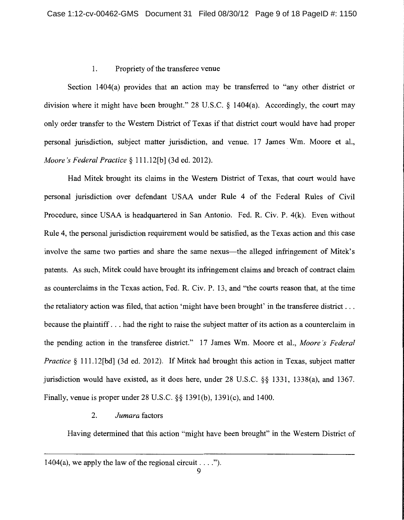### 1. Propriety of the transferee venue

Section 1404(a) provides that an action may be transferred to "any other district or division where it might have been brought." 28 U.S.C. § 1404(a). Accordingly, the court may only order transfer to the Western District of Texas if that district court would have had proper personal jurisdiction, subject matter jurisdiction, and venue. 17 James Wm. Moore et al., *Moore's Federal Practice* § 111.12[b] (3d ed. 2012).

Had Mitek brought its claims in the Western District of Texas, that court would have personal jurisdiction over defendant USAA under Rule 4 of the Federal Rules of Civil Procedure, since USAA is headquartered in San Antonio. Fed. R. Civ. P. 4(k). Even without Rule 4, the personal jurisdiction requirement would be satisfied, as the Texas action and this case involve the same two parties and share the same nexus—the alleged infringement of Mitek's patents. As such, Mitek could have brought its infringement claims and breach of contract claim as counterclaims in the Texas action, Fed. R. Civ. P. 13, and "the courts reason that, at the time the retaliatory action was filed, that action 'might have been brought' in the transferee district ... because the plaintiff ... had the right to raise the subject matter of its action as a counterclaim in the pending action in the transferee district." 17 James Wm. Moore et al., *Moore's Federal Practice* § 111.12[bd] (3d ed. 2012). If Mitek had brought this action in Texas, subject matter jurisdiction would have existed, as it does here, under 28 U.S.C. §§ 1331, 1338(a), and 1367. Finally, venue is proper under 28 U.S.C. §§ 1391(b), 1391(c), and 1400.

## 2. *Jumara* factors

Having determined that this action "might have been brought" in the Western District of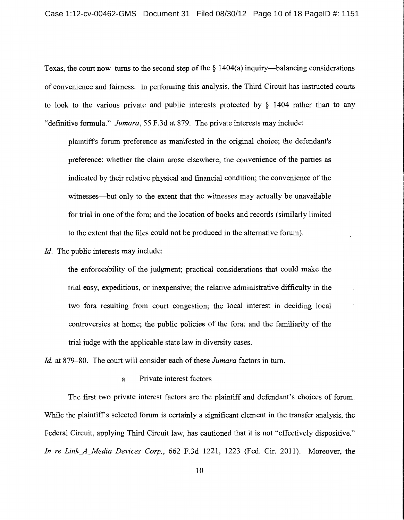Texas, the court now turns to the second step of the  $\S$  1404(a) inquiry—balancing considerations of convenience and fairness. In performing this analysis, the Third Circuit has instructed courts to look to the various private and public interests protected by § 1404 rather than to any "definitive formula." *Jumara,* 55 F.3d at 879. The private interests may include:

plaintiffs forum preference as manifested in the original choice; the defendant's preference; whether the claim arose elsewhere; the convenience of the parties as indicated by their relative physical and financial condition; the convenience of the witnesses—but only to the extent that the witnesses may actually be unavailable for trial in one of the fora; and the location of books and records (similarly limited to the extent that the files could not be produced in the alternative forum).

*!d.* The public interests may include:

the enforceability of the judgment; practical considerations that could make the trial easy, expeditious, or inexpensive; the relative administrative difficulty in the two fora resulting from court congestion; the local interest in deciding local controversies at home; the public policies of the fora; and the familiarity of the trial judge with the applicable state law in diversity cases.

*!d.* at 879-80. The court will consider each of these *Jumara* factors in tum.

a. Private interest factors

The first two private interest factors are the plaintiff and defendant's choices of forum. While the plaintiff's selected forum is certainly a significant element in the transfer analysis, the Federal Circuit, applying Third Circuit law, has cautioned that it is not "effectively dispositive." *In re Link A Media Devices Corp.,* 662 F.3d 1221, 1223 (Fed. Cir. 2011). Moreover, the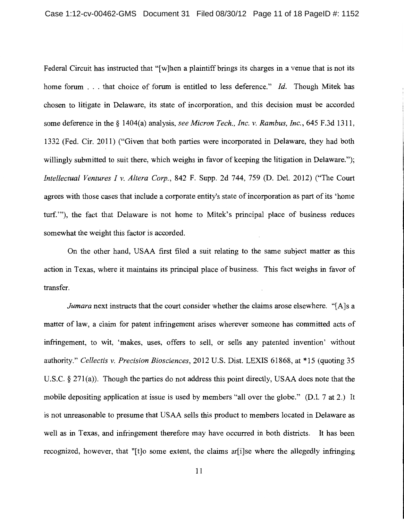Federal Circuit has instructed that "[w]hen a plaintiff brings its charges in a venue that is not its home forum . . . that choice of forum is entitled to less deference." *Id.* Though Mitek has chosen to litigate in Delaware, its state of incorporation, and this decision must be accorded some deference in the§ 1404(a) analysis, *see Micron Tech., Inc. v. Rambus, Inc.,* 645 F.3d 1311, 1332 (Fed. Cir. 2011) ("Given that both parties were incorporated in Delaware, they had both willingly submitted to suit there, which weighs in favor of keeping the litigation in Delaware."); *Intellectual Ventures I v. Altera Corp.,* 842 F. Supp. 2d 744, 759 (D. Del. 2012) ("The Court agrees with those cases that include a corporate entity's state of incorporation as part of its 'home turf."'), the fact that Delaware is not home to Mitek's principal place of business reduces somewhat the weight this factor is accorded.

On the other hand, USAA first filed a suit relating to the same subject matter as this action in Texas, where it maintains its principal place of business. This fact weighs in favor of transfer.

*Jumara* next instructs that the court consider whether the claims arose elsewhere. "[A]s a matter of law, a claim for patent infringement arises wherever someone has committed acts of infringement, to wit, 'makes, uses, offers to sell, or sells any patented invention' without authority." *Cel/ectis v. Precision Biosciences,* 2012 U.S. Dist. LEXIS 61868, at \*15 (quoting 35 U.S.C. § 271(a)). Though the parties do not address this point directly, USAA does note that the mobile depositing application at issue is used by members "all over the globe." (D.I. 7 at 2.) It is not unreasonable to presume that USAA sells this product to members located in Delaware as well as in Texas, and infringement therefore may have occurred in both districts. It has been recognized, however, that "[t]o some extent, the claims ar[i]se where the allegedly infringing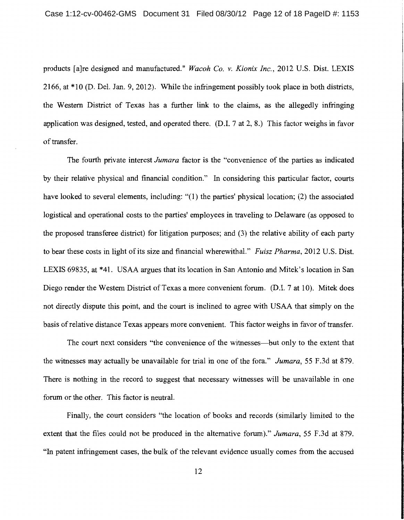products [a]re designed and manufactured." *Wacoh Co. v. Kionix Inc.,* 2012 U.S. Dist. LEXIS 2166, at \*10 (D. Del. Jan. 9, 2012). While the infringement possibly took place in both districts, the Western District of Texas has a further link to the claims, as the allegedly infringing application was designed, tested, and operated there. (D.I. 7 at 2, 8.) This factor weighs in favor of transfer.

The fourth private interest *Jumara* factor is the "convenience of the parties as indicated by their relative physical and financial condition." In considering this particular factor, courts have looked to several elements, including: "(1) the parties' physical location; (2) the associated logistical and operational costs to the parties' employees in traveling to Delaware (as opposed to the proposed transferee district) for litigation purposes; and (3) the relative ability of each party to bear these costs in light of its size and financial wherewithal." *Fuisz Pharma,* 2012 U.S. Dist. LEXIS 69835, at \*41. USAA argues that its location in San Antonio and Mitek's location in San Diego render the Western District of Texas a more convenient forum. (D.I. 7 at 10). Mitek does not directly dispute this point, and the court is inclined to agree with USAA that simply on the basis of relative distance Texas appears more convenient. This factor weighs in favor of transfer.

The court next considers "the convenience of the witnesses—but only to the extent that the witnesses may actually be unavailable for trial in one of the fora." *Jumara,* 55 F.3d at 879. There is nothing in the record to suggest that necessary witnesses will be unavailable in one forum or the other. This factor is neutral.

Finally, the court considers "the location of books and records (similarly limited to the extent that the files could not be produced in the alternative forum)." *Jumara,* 55 F.3d at 879. "In patent infringement cases, the bulk of the relevant evidence usually comes from the accused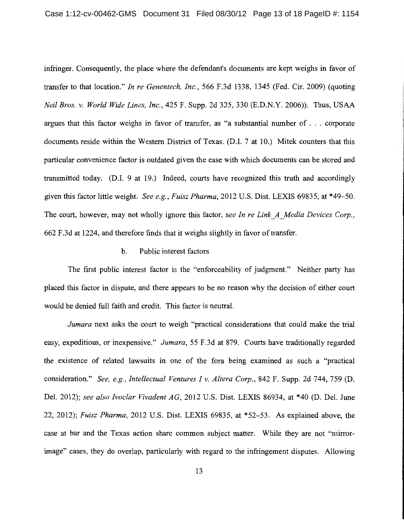infringer. Consequently, the place where the defendant's documents are kept weighs in favor of transfer to that location." *In re Genentech, Inc.,* 566 F.3d 1338, 1345 (Fed. Cir. 2009) (quoting *Neil Bros. v. World Wide Lines, Inc.,* 425 F. Supp. 2d 325, 330 (E.D.N.Y. 2006)). Thus, USAA argues that this factor weighs in favor of transfer, as "a substantial number of ... corporate documents reside within the Western District of Texas. (D.I. 7 at 10.) Mitek counters that this particular convenience factor is outdated given the ease with which documents can be stored and transmitted today. (D.I. 9 at 19.) Indeed, courts have recognized this truth and accordingly given this factor little weight. *See e.g., Fuisz Pharma,* 2012 U.S. Dist. LEXIS 69835, at \*49-50. The court, however, may not wholly ignore this factor, *see In re Link\_A\_Media Devices Corp.,*  662 F.3d at 1224, and therefore finds that it weighs slightly in favor of transfer.

### b. Public interest factors

The first public interest factor is the "enforceability of judgment." Neither party has placed this factor in dispute, and there appears to be no reason why the decision of either court would be denied full faith and credit. This factor is neutral.

*Jumara* next asks the court to weigh "practical considerations that could make the trial easy, expeditious, or inexpensive." *Jumara,* 55 F.3d at 879. Courts have traditionally regarded the existence of related lawsuits in one of the fora being examined as such a "practical consideration." *See, e.g., Intellectual Ventures I v. Altera Corp.,* 842 F. Supp. 2d 744, 759 (D. Del. 2012); *see also Ivoclar Vivadent AG,* 2012 U.S. Dist. LEXIS 86934, at \*40 (D. Del. June 22, 2012); *Fuisz Pharma,* 2012 U.S. Dist. LEXIS 69835, at \*52-53. As explained above, the case at bar and the Texas action share common subject matter. While they are not "mirrorimage" cases, they do overlap, particularly with regard to the infringement disputes. Allowing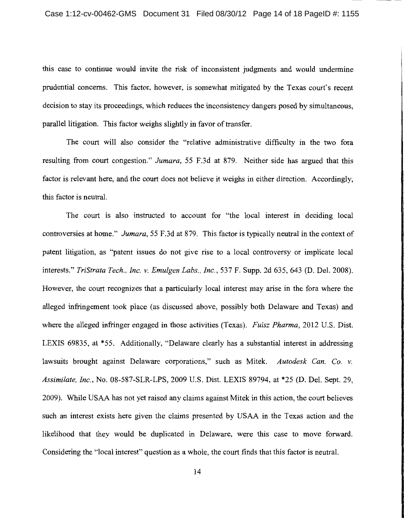this case to continue would invite the risk of inconsistent judgments and would undermine prudential concerns. This factor, however, is somewhat mitigated by the Texas court's recent decision to stay its proceedings, which reduces the inconsistency dangers posed by simultaneous, parallel litigation. This factor weighs slightly in favor of transfer.

The court will also consider the "relative administrative difficulty in the two fora resulting from court congestion." *Jumara,* 55 F.3d at 879. Neither side has argued that this factor is relevant here, and the court does not believe it weighs in either direction. Accordingly, this factor is neutral.

The court is also instructed to account for "the local interest in deciding local controversies at home." *Jumara,* 55 F.3d at 879. This factor is typically neutral in the context of patent litigation, as "patent issues do not give rise to a local controversy or implicate local interests." *TriStrata Tech., Inc. v. Emulgen Labs., Inc.,* 537 F. Supp. 2d 635, 643 (D. Del. 2008). However, the court recognizes that a particularly local interest may arise in the fora where the alleged infringement took place (as discussed above, possibly both Delaware and Texas) and where the alleged infringer engaged in those activities (Texas). *Fuisz Pharma,* 2012 U.S. Dist. LEXIS 69835, at \*55. Additionally, "Delaware clearly has a substantial interest in addressing lawsuits brought against Delaware corporations," such as Mitek. *Autodesk Can. Co. v. Assimilate, Inc.,* No. 08-587-SLR-LPS, 2009 U.S. Dist. LEXIS 89794, at \*25 (D. Del. Sept. 29, 2009). While USAA has not yet raised any claims against Mitek in this action, the court believes such an interest exists here given the claims presented by USAA in the Texas action and the likelihood that they would be duplicated in Delaware, were this case to move forward. Considering the "local interest" question as a whole, the court finds that this factor is neutral.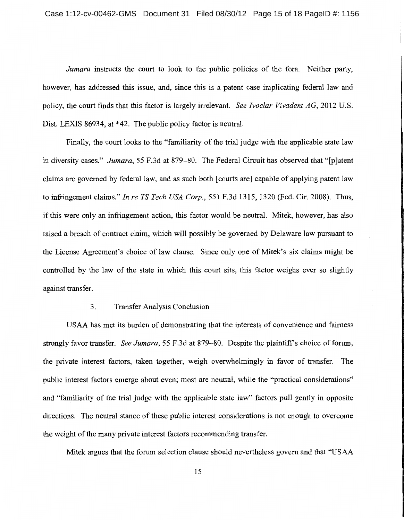*Jumara* instructs the court to look to the public policies of the fora. Neither party, however, has addressed this issue, and, since this is a patent case implicating federal law and policy, the court finds that this factor is largely irrelevant. *See Ivoclar Vivadent AG,* 2012 U.S. Dist. LEXIS 86934, at \*42. The public policy factor is neutral.

Finally, the court looks to the "familiarity of the trial judge with the applicable state law in diversity cases." *Jumara,* 55 F.3d at 879-80. The Federal Circuit has observed that "[p]atent claims are governed by federal law, and as such both [courts are] capable of applying patent law to infringement claims." *In re TS Tech USA Corp.,* 551 F.3d 1315, 1320 (Fed. Cir. 2008). Thus, if this were only an infringement action, this factor would be neutral. Mitek, however, has also raised a breach of contract claim, which will possibly be governed by Delaware law pursuant to the License Agreement's choice of law clause. Since only one of Mitek's six claims might be controlled by the law of the state in which this court sits, this factor weighs ever so slightly against transfer.

### 3. Transfer Analysis Conclusion

USAA has met its burden of demonstrating that the interests of convenience and fairness strongly favor transfer. *See Jumara,* 55 F.3d at 879-80. Despite the plaintiff's choice of forum, the private interest factors, taken together, weigh overwhelmingly in favor of transfer. The public interest factors emerge about even; most are neutral, while the "practical considerations" and "familiarity of the trial judge with the applicable state law" factors pull gently in opposite directions. The neutral stance of these public interest considerations is not enough to overcome the weight of the many private interest factors recommending transfer.

Mitek argues that the forum selection clause should nevertheless govern and that "USAA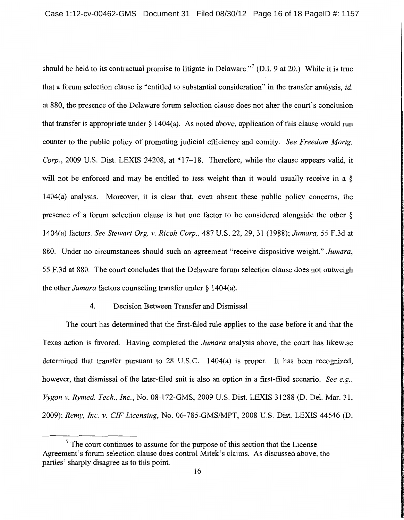should be held to its contractual promise to litigate in Delaware."<sup>7</sup> (D.I. 9 at 20.) While it is true that a forum selection clause is "entitled to substantial consideration" in the transfer analysis, *id.*  at 880, the presence of the Delaware forum selection clause does not alter the court's conclusion that transfer is appropriate under  $\S 1404(a)$ . As noted above, application of this clause would run counter to the public policy of promoting judicial efficiency and comity. *See Freedom Mortg. Corp.*, 2009 U.S. Dist. LEXIS 24208, at \*17-18. Therefore, while the clause appears valid, it will not be enforced and may be entitled to less weight than it would usually receive in a § 1404(a) analysis. Moreover, it is clear that, even absent these public policy concerns, the presence of a forum selection clause is but one factor to be considered alongside the other § 1404(a) factors. *See Stewart Org. v. Ricoh Corp.,* 487 U.S. 22, 29, 31 (1988); *Jumara,* 55 F.3d at 880. Under no circumstances should such an agreement "receive dispositive weight." *Jumara,*  55 F.3d at 880. The court concludes that the Delaware forum selection clause does not outweigh the other *Jumara* factors counseling transfer under§ 1404(a).

### 4. Decision Between Transfer and Dismissal

The court has determined that the first-filed rule applies to the case before it and that the Texas action is favored. Having completed the *Jumara* analysis above, the court has likewise determined that transfer pursuant to 28 U.S.C. 1404(a) is proper. It has been recognized, however, that dismissal of the later-filed suit is also an option in a first-filed scenario. *See e.g.*, *Vygon v. Rymed. Tech., Inc.,* No. 08-172-GMS, 2009 U.S. Dist. LEXIS 31288 (D. Del. Mar. 31, 2009); *Remy, Inc. v. CIF Licensing,* No. 06-785-GMS/MPT, 2008 U.S. Dist. LEXIS 44546 (D.

 $<sup>7</sup>$  The court continues to assume for the purpose of this section that the License</sup> Agreement's forum selection clause does control Mitek's claims. As discussed above, the parties' sharply disagree as to this point.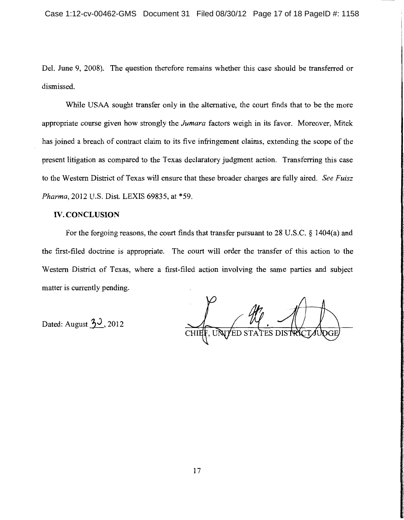Del. June 9, 2008). The question therefore remains whether this case should be transferred or dismissed.

While USAA sought transfer only in the alternative, the court finds that to be the more appropriate course given how strongly the *Jumara* factors weigh in its favor. Moreover, Mitek has joined a breach of contract claim to its five infringement claims, extending the scope of the present litigation as compared to the Texas declaratory judgment action. Transferring this case to the Western District of Texas will ensure that these broader charges are fully aired. *See Fuisz Pharma,* 2012 U.S. Dist. LEXIS 69835, at \*59.

### IV. **CONCLUSION**

For the forgoing reasons, the court finds that transfer pursuant to 28 U.S.C. § 1404(a) and the first-filed doctrine is appropriate. The court will order the transfer of this action to the Western District of Texas, where a first-filed action involving the same parties and subject matter is currently pending.

Dated: August 30, 2012